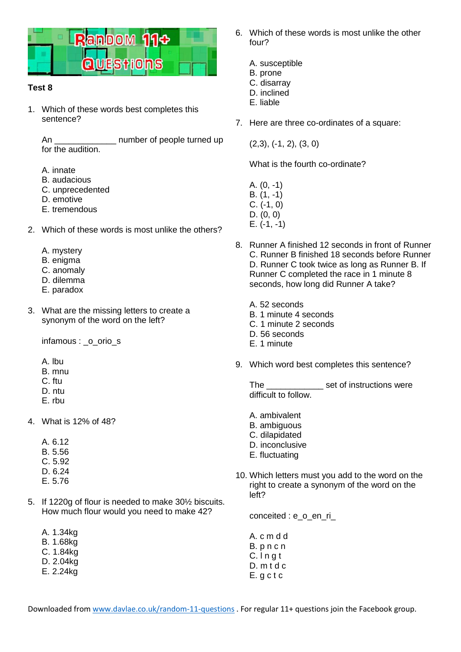

## **Test 8**

1. Which of these words best completes this sentence?

An **An number** of people turned up for the audition.

- A. innate
- B. audacious
- C. unprecedented
- D. emotive
- E. tremendous
- 2. Which of these words is most unlike the others?
	- A. mystery
	- B. enigma
	- C. anomaly
	- D. dilemma
	- E. paradox
- 3. What are the missing letters to create a synonym of the word on the left?

infamous : o orio s

- A. lbu
- B. mnu
- C. ftu
- D. ntu
- E. rbu
- 4. What is 12% of 48?
	- A. 6.12 B. 5.56 C. 5.92 D. 6.24 E. 5.76
- 5. If 1220g of flour is needed to make 30½ biscuits. How much flour would you need to make 42?
	- A. 1.34kg B. 1.68kg C. 1.84kg D. 2.04kg
	- E. 2.24kg
- 6. Which of these words is most unlike the other four?
	- A. susceptible B. prone
	- C. disarray
	- D. inclined
	- E. liable
- 7. Here are three co-ordinates of a square:

(2,3), (-1, 2), (3, 0)

What is the fourth co-ordinate?

- A. (0, -1) B. (1, -1) C. (-1, 0) D. (0, 0)
- E. (-1, -1)
- 8. Runner A finished 12 seconds in front of Runner C. Runner B finished 18 seconds before Runner D. Runner C took twice as long as Runner B. If Runner C completed the race in 1 minute 8 seconds, how long did Runner A take?
	- A. 52 seconds B. 1 minute 4 seconds C. 1 minute 2 seconds D. 56 seconds E. 1 minute
- 9. Which word best completes this sentence?

The \_\_\_\_\_\_\_\_\_\_\_\_ set of instructions were difficult to follow.

- A. ambivalent
- B. ambiguous
- C. dilapidated
- D. inconclusive
- E. fluctuating
- 10. Which letters must you add to the word on the right to create a synonym of the word on the left?

conceited : e\_o\_en\_ri

A. c m d d B. p n c n  $C.$  In at D. m t d c E. g c t c

Downloaded fro[m www.davlae.co.uk/random-11-questions](http://www.davlae.co.uk/random-11-questions) . For regular 11+ questions join the Facebook group.